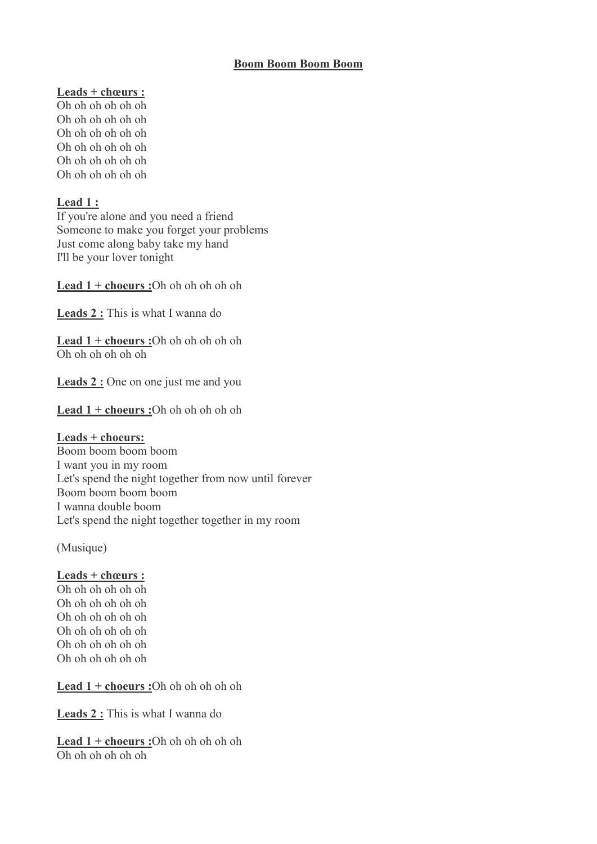#### **Boom Boom Boom Boom**

## **Leads + chœurs :**

Oh oh oh oh oh oh Oh oh oh oh oh oh Oh oh oh oh oh oh Oh oh oh oh oh oh Oh oh oh oh oh oh Oh oh oh oh oh oh

## **Lead 1 :**

If you're alone and you need a friend Someone to make you forget your problems Just come along baby take my hand I'll be your lover tonight

**Lead 1 + choeurs :**Oh oh oh oh oh oh

**Leads 2 :** This is what I wanna do

**Lead 1 + choeurs :**Oh oh oh oh oh oh Oh oh oh oh oh oh

**Leads 2 :** One on one just me and you

**Lead 1 + choeurs :**Oh oh oh oh oh oh

#### **Leads + choeurs:**

Boom boom boom boom I want you in my room Let's spend the night together from now until forever Boom boom boom boom I wanna double boom Let's spend the night together together in my room

(Musique)

#### **Leads + chœurs :**

Oh oh oh oh oh oh Oh oh oh oh oh oh Oh oh oh oh oh oh Oh oh oh oh oh oh Oh oh oh oh oh oh Oh oh oh oh oh oh

**Lead 1 + choeurs :**Oh oh oh oh oh oh

**Leads 2 :** This is what I wanna do

**Lead 1 + choeurs :**Oh oh oh oh oh oh Oh oh oh oh oh oh